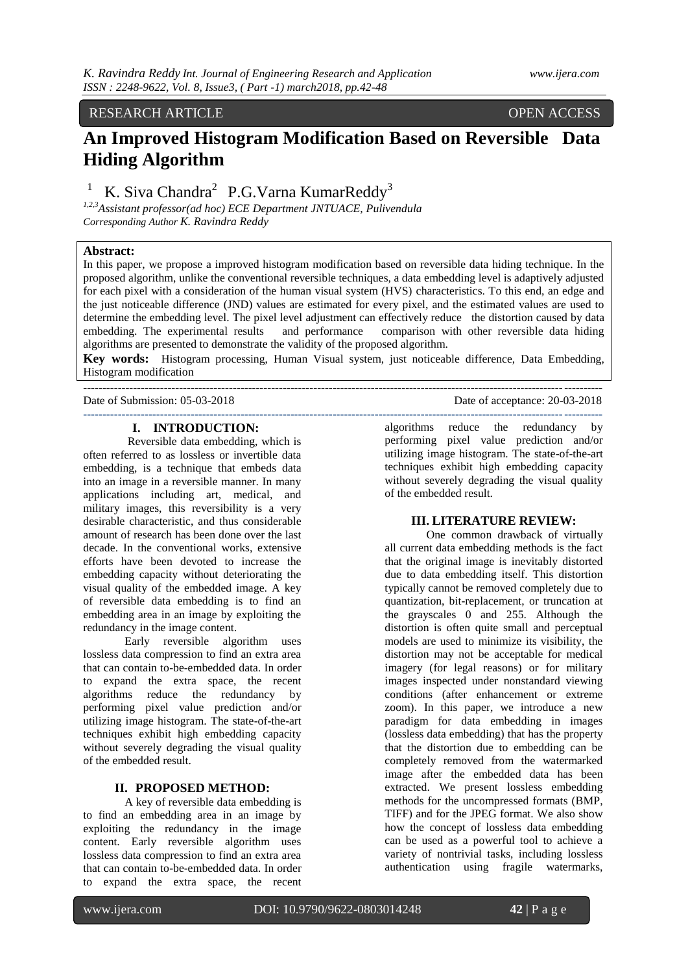# RESEARCH ARTICLE OPEN ACCESS

# **An Improved Histogram Modification Based on Reversible Data Hiding Algorithm**

# <sup>1</sup> K. Siva Chandra<sup>2</sup> P.G.Varna KumarReddy<sup>3</sup>

*1,2,3Assistant professor(ad hoc) ECE Department JNTUACE, Pulivendula Corresponding Author K. Ravindra Reddy*

# **Abstract:**

In this paper, we propose a improved histogram modification based on reversible data hiding technique. In the proposed algorithm, unlike the conventional reversible techniques, a data embedding level is adaptively adjusted for each pixel with a consideration of the human visual system (HVS) characteristics. To this end, an edge and the just noticeable difference (JND) values are estimated for every pixel, and the estimated values are used to determine the embedding level. The pixel level adjustment can effectively reduce the distortion caused by data embedding. The experimental results and performance comparison with other reversible data hiding algorithms are presented to demonstrate the validity of the proposed algorithm.

**Key words:** Histogram processing, Human Visual system, just noticeable difference, Data Embedding, Histogram modification

Date of Submission: 05-03-2018 Date of acceptance: 20-03-2018

# **I. INTRODUCTION:**

Reversible data embedding, which is often referred to as lossless or invertible data embedding, is a technique that embeds data into an image in a reversible manner. In many applications including art, medical, and military images, this reversibility is a very desirable characteristic, and thus considerable amount of research has been done over the last decade. In the conventional works, extensive efforts have been devoted to increase the embedding capacity without deteriorating the visual quality of the embedded image. A key of reversible data embedding is to find an embedding area in an image by exploiting the redundancy in the image content.

 Early reversible algorithm uses lossless data compression to find an extra area that can contain to-be-embedded data. In order to expand the extra space, the recent algorithms reduce the redundancy by performing pixel value prediction and/or utilizing image histogram. The state-of-the-art techniques exhibit high embedding capacity without severely degrading the visual quality of the embedded result.

# **II. PROPOSED METHOD:**

A key of reversible data embedding is to find an embedding area in an image by exploiting the redundancy in the image content. Early reversible algorithm uses lossless data compression to find an extra area that can contain to-be-embedded data. In order to expand the extra space, the recent

**--------------------------------------------------------------------------------------------------------------------------------------- ---------------------------------------------------------------------------------------------------------------------------------------**

> algorithms reduce the redundancy by performing pixel value prediction and/or utilizing image histogram. The state-of-the-art techniques exhibit high embedding capacity without severely degrading the visual quality of the embedded result.

### **III. LITERATURE REVIEW:**

One common drawback of virtually all current data embedding methods is the fact that the original image is inevitably distorted due to data embedding itself. This distortion typically cannot be removed completely due to quantization, bit-replacement, or truncation at the grayscales 0 and 255. Although the distortion is often quite small and perceptual models are used to minimize its visibility, the distortion may not be acceptable for medical imagery (for legal reasons) or for military images inspected under nonstandard viewing conditions (after enhancement or extreme zoom). In this paper, we introduce a new paradigm for data embedding in images (lossless data embedding) that has the property that the distortion due to embedding can be completely removed from the watermarked image after the embedded data has been extracted. We present lossless embedding methods for the uncompressed formats (BMP, TIFF) and for the JPEG format. We also show how the concept of lossless data embedding can be used as a powerful tool to achieve a variety of nontrivial tasks, including lossless authentication using fragile watermarks,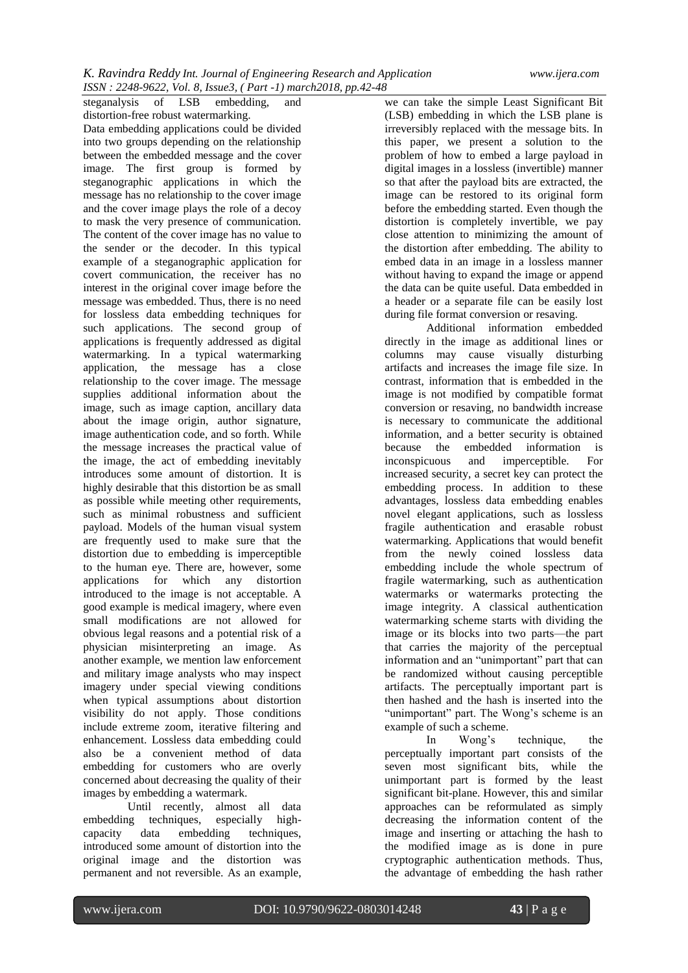steganalysis of LSB embedding, and distortion-free robust watermarking. Data embedding applications could be divided into two groups depending on the relationship between the embedded message and the cover image. The first group is formed by steganographic applications in which the message has no relationship to the cover image and the cover image plays the role of a decoy to mask the very presence of communication. The content of the cover image has no value to the sender or the decoder. In this typical example of a steganographic application for covert communication, the receiver has no interest in the original cover image before the message was embedded. Thus, there is no need for lossless data embedding techniques for such applications. The second group of applications is frequently addressed as digital watermarking. In a typical watermarking application, the message has a close relationship to the cover image. The message supplies additional information about the image, such as image caption, ancillary data about the image origin, author signature, image authentication code, and so forth. While the message increases the practical value of the image, the act of embedding inevitably introduces some amount of distortion. It is highly desirable that this distortion be as small as possible while meeting other requirements, such as minimal robustness and sufficient payload. Models of the human visual system are frequently used to make sure that the distortion due to embedding is imperceptible to the human eye. There are, however, some applications for which any distortion introduced to the image is not acceptable. A good example is medical imagery, where even small modifications are not allowed for obvious legal reasons and a potential risk of a physician misinterpreting an image. As another example, we mention law enforcement and military image analysts who may inspect imagery under special viewing conditions when typical assumptions about distortion visibility do not apply. Those conditions include extreme zoom, iterative filtering and enhancement. Lossless data embedding could also be a convenient method of data embedding for customers who are overly concerned about decreasing the quality of their images by embedding a watermark.

Until recently, almost all data embedding techniques, especially highcapacity data embedding techniques, introduced some amount of distortion into the original image and the distortion was permanent and not reversible. As an example,

we can take the simple Least Significant Bit (LSB) embedding in which the LSB plane is irreversibly replaced with the message bits. In this paper, we present a solution to the problem of how to embed a large payload in digital images in a lossless (invertible) manner so that after the payload bits are extracted, the image can be restored to its original form before the embedding started. Even though the distortion is completely invertible, we pay close attention to minimizing the amount of the distortion after embedding. The ability to embed data in an image in a lossless manner without having to expand the image or append the data can be quite useful. Data embedded in a header or a separate file can be easily lost during file format conversion or resaving.

Additional information embedded directly in the image as additional lines or columns may cause visually disturbing artifacts and increases the image file size. In contrast, information that is embedded in the image is not modified by compatible format conversion or resaving, no bandwidth increase is necessary to communicate the additional information, and a better security is obtained because the embedded information is inconspicuous and imperceptible. For increased security, a secret key can protect the embedding process. In addition to these advantages, lossless data embedding enables novel elegant applications, such as lossless fragile authentication and erasable robust watermarking. Applications that would benefit from the newly coined lossless data embedding include the whole spectrum of fragile watermarking, such as authentication watermarks or watermarks protecting the image integrity. A classical authentication watermarking scheme starts with dividing the image or its blocks into two parts—the part that carries the majority of the perceptual information and an "unimportant" part that can be randomized without causing perceptible artifacts. The perceptually important part is then hashed and the hash is inserted into the "unimportant" part. The Wong's scheme is an example of such a scheme.

In Wong's technique, the perceptually important part consists of the seven most significant bits, while the unimportant part is formed by the least significant bit-plane. However, this and similar approaches can be reformulated as simply decreasing the information content of the image and inserting or attaching the hash to the modified image as is done in pure cryptographic authentication methods. Thus, the advantage of embedding the hash rather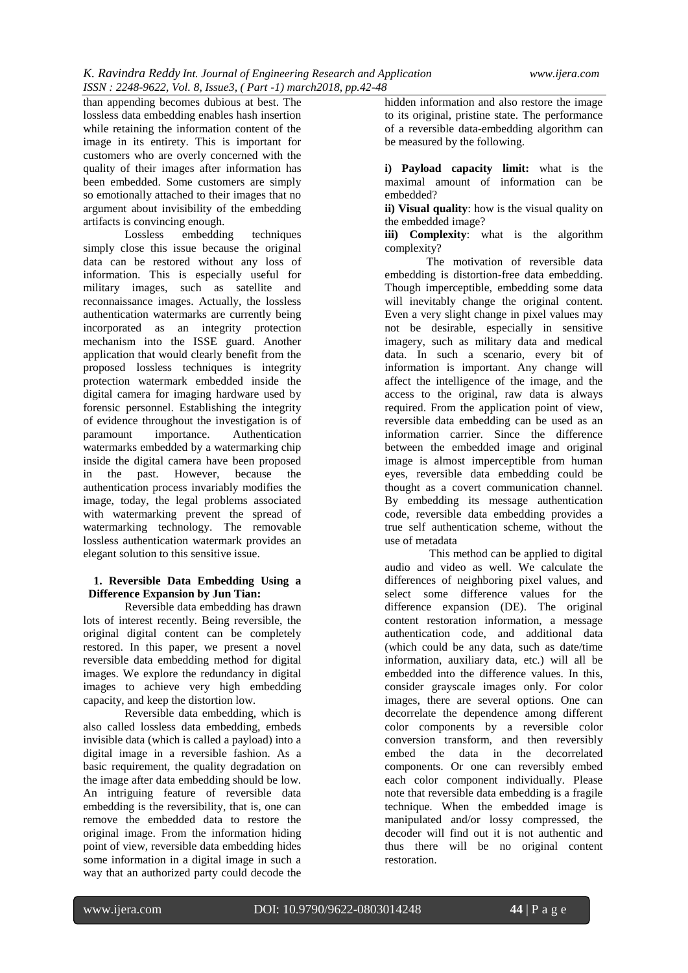than appending becomes dubious at best. The lossless data embedding enables hash insertion while retaining the information content of the image in its entirety. This is important for customers who are overly concerned with the quality of their images after information has been embedded. Some customers are simply so emotionally attached to their images that no argument about invisibility of the embedding artifacts is convincing enough.

Lossless embedding techniques simply close this issue because the original data can be restored without any loss of information. This is especially useful for military images, such as satellite and reconnaissance images. Actually, the lossless authentication watermarks are currently being incorporated as an integrity protection mechanism into the ISSE guard. Another application that would clearly benefit from the proposed lossless techniques is integrity protection watermark embedded inside the digital camera for imaging hardware used by forensic personnel. Establishing the integrity of evidence throughout the investigation is of paramount importance. Authentication watermarks embedded by a watermarking chip inside the digital camera have been proposed in the past. However, because the authentication process invariably modifies the image, today, the legal problems associated with watermarking prevent the spread of watermarking technology. The removable lossless authentication watermark provides an elegant solution to this sensitive issue.

#### **1. Reversible Data Embedding Using a Difference Expansion by Jun Tian:**

Reversible data embedding has drawn lots of interest recently. Being reversible, the original digital content can be completely restored. In this paper, we present a novel reversible data embedding method for digital images. We explore the redundancy in digital images to achieve very high embedding capacity, and keep the distortion low.

Reversible data embedding, which is also called lossless data embedding, embeds invisible data (which is called a payload) into a digital image in a reversible fashion. As a basic requirement, the quality degradation on the image after data embedding should be low. An intriguing feature of reversible data embedding is the reversibility, that is, one can remove the embedded data to restore the original image. From the information hiding point of view, reversible data embedding hides some information in a digital image in such a way that an authorized party could decode the

hidden information and also restore the image to its original, pristine state. The performance of a reversible data-embedding algorithm can be measured by the following.

**i) Payload capacity limit:** what is the maximal amount of information can be embedded?

**ii) Visual quality**: how is the visual quality on the embedded image?

**iii) Complexity**: what is the algorithm complexity?

The motivation of reversible data embedding is distortion-free data embedding. Though imperceptible, embedding some data will inevitably change the original content. Even a very slight change in pixel values may not be desirable, especially in sensitive imagery, such as military data and medical data. In such a scenario, every bit of information is important. Any change will affect the intelligence of the image, and the access to the original, raw data is always required. From the application point of view, reversible data embedding can be used as an information carrier. Since the difference between the embedded image and original image is almost imperceptible from human eyes, reversible data embedding could be thought as a covert communication channel. By embedding its message authentication code, reversible data embedding provides a true self authentication scheme, without the use of metadata

This method can be applied to digital audio and video as well. We calculate the differences of neighboring pixel values, and select some difference values for the difference expansion (DE). The original content restoration information, a message authentication code, and additional data (which could be any data, such as date/time information, auxiliary data, etc.) will all be embedded into the difference values. In this, consider grayscale images only. For color images, there are several options. One can decorrelate the dependence among different color components by a reversible color conversion transform, and then reversibly embed the data in the decorrelated components. Or one can reversibly embed each color component individually. Please note that reversible data embedding is a fragile technique. When the embedded image is manipulated and/or lossy compressed, the decoder will find out it is not authentic and thus there will be no original content restoration.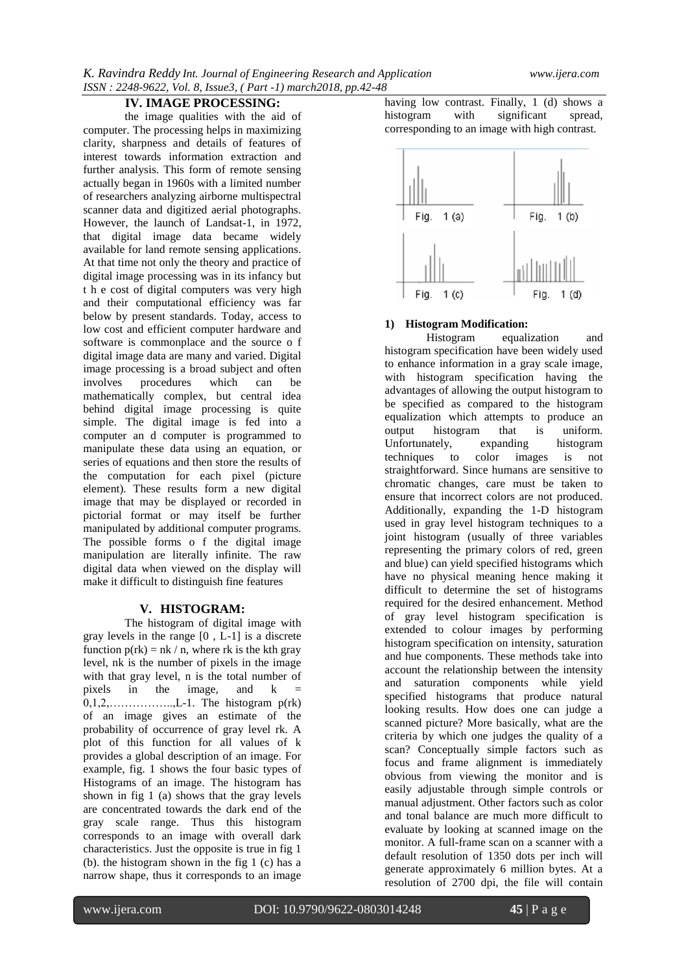# **IV. IMAGE PROCESSING:**

the image qualities with the aid of computer. The processing helps in maximizing clarity, sharpness and details of features of interest towards information extraction and further analysis. This form of remote sensing actually began in 1960s with a limited number of researchers analyzing airborne multispectral scanner data and digitized aerial photographs. However, the launch of Landsat-1, in 1972, that digital image data became widely available for land remote sensing applications. At that time not only the theory and practice of digital image processing was in its infancy but t h e cost of digital computers was very high and their computational efficiency was far below by present standards. Today, access to low cost and efficient computer hardware and software is commonplace and the source o f digital image data are many and varied. Digital image processing is a broad subject and often involves procedures which can be mathematically complex, but central idea behind digital image processing is quite simple. The digital image is fed into a computer an d computer is programmed to manipulate these data using an equation, or series of equations and then store the results of the computation for each pixel (picture element). These results form a new digital image that may be displayed or recorded in pictorial format or may itself be further manipulated by additional computer programs. The possible forms o f the digital image manipulation are literally infinite. The raw digital data when viewed on the display will make it difficult to distinguish fine features

# **V. HISTOGRAM:**

The histogram of digital image with gray levels in the range [0 , L-1] is a discrete function  $p(rk) = nk / n$ , where rk is the kth gray level, nk is the number of pixels in the image with that gray level, n is the total number of pixels in the image, and  $k =$  $0.1,2,\ldots,\ldots,\ldots,L-1$ . The histogram  $p(rk)$ of an image gives an estimate of the probability of occurrence of gray level rk. A plot of this function for all values of k provides a global description of an image. For example, fig. 1 shows the four basic types of Histograms of an image. The histogram has shown in fig 1 (a) shows that the gray levels are concentrated towards the dark end of the gray scale range. Thus this histogram corresponds to an image with overall dark characteristics. Just the opposite is true in fig 1 (b). the histogram shown in the fig 1 (c) has a narrow shape, thus it corresponds to an image

having low contrast. Finally, 1 (d) shows a histogram with significant spread, corresponding to an image with high contrast.



### **1) Histogram Modification:**

Histogram equalization and histogram specification have been widely used to enhance information in a gray scale image, with histogram specification having the advantages of allowing the output histogram to be specified as compared to the histogram equalization which attempts to produce an output histogram that is uniform. Unfortunately, expanding histogram techniques to color images is not straightforward. Since humans are sensitive to chromatic changes, care must be taken to ensure that incorrect colors are not produced. Additionally, expanding the 1-D histogram used in gray level histogram techniques to a joint histogram (usually of three variables representing the primary colors of red, green and blue) can yield specified histograms which have no physical meaning hence making it difficult to determine the set of histograms required for the desired enhancement. Method of gray level histogram specification is extended to colour images by performing histogram specification on intensity, saturation and hue components. These methods take into account the relationship between the intensity and saturation components while yield specified histograms that produce natural looking results. How does one can judge a scanned picture? More basically, what are the criteria by which one judges the quality of a scan? Conceptually simple factors such as focus and frame alignment is immediately obvious from viewing the monitor and is easily adjustable through simple controls or manual adjustment. Other factors such as color and tonal balance are much more difficult to evaluate by looking at scanned image on the monitor. A full-frame scan on a scanner with a default resolution of 1350 dots per inch will generate approximately 6 million bytes. At a resolution of 2700 dpi, the file will contain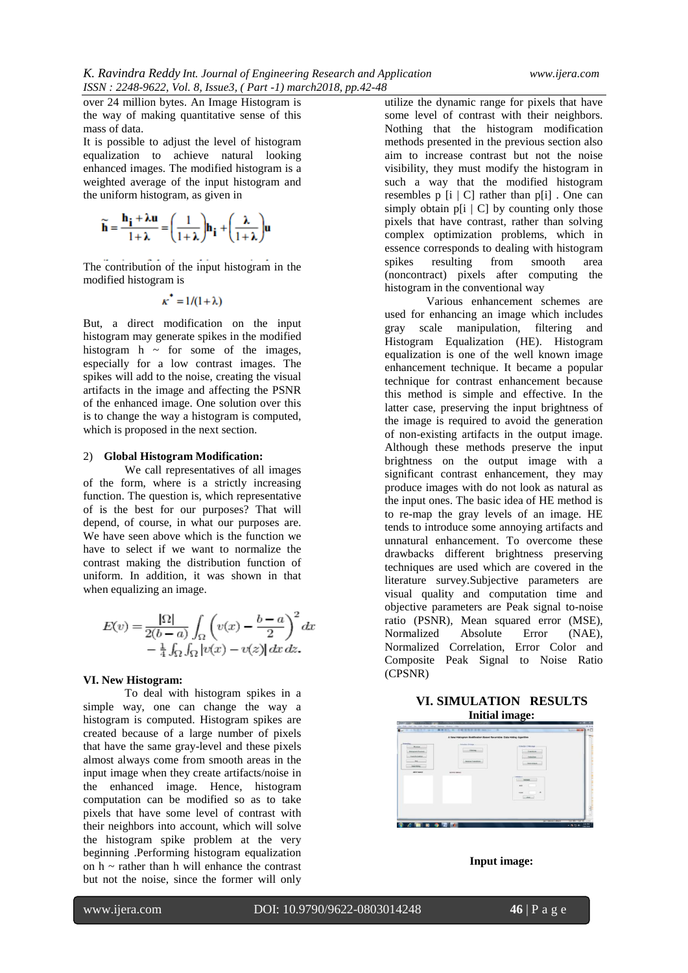over 24 million bytes. An Image Histogram is the way of making quantitative sense of this mass of data.

It is possible to adjust the level of histogram equalization to achieve natural looking enhanced images. The modified histogram is a weighted average of the input histogram and the uniform histogram, as given in

$$
\widetilde{h} = \frac{h_i + \lambda u}{1 + \lambda} = \left(\frac{1}{1 + \lambda}\right)h_i + \left(\frac{\lambda}{1 + \lambda}\right)u
$$

The contribution of the input histogram in the modified histogram is

$$
\kappa^* = 1/(1+\lambda)
$$

But, a direct modification on the input histogram may generate spikes in the modified histogram  $h \sim$  for some of the images, especially for a low contrast images. The spikes will add to the noise, creating the visual artifacts in the image and affecting the PSNR of the enhanced image. One solution over this is to change the way a histogram is computed, which is proposed in the next section.

#### 2) **Global Histogram Modification:**

We call representatives of all images of the form, where is a strictly increasing function. The question is, which representative of is the best for our purposes? That will depend, of course, in what our purposes are. We have seen above which is the function we have to select if we want to normalize the contrast making the distribution function of uniform. In addition, it was shown in that when equalizing an image.

$$
E(v) = \frac{|\Omega|}{2(b-a)} \int_{\Omega} \left( v(x) - \frac{b-a}{2} \right)^2 dx
$$

$$
- \frac{1}{4} \int_{\Omega} \int_{\Omega} |v(x) - v(z)| dx dz.
$$

#### **VI. New Histogram:**

To deal with histogram spikes in a simple way, one can change the way a histogram is computed. Histogram spikes are created because of a large number of pixels that have the same gray-level and these pixels almost always come from smooth areas in the input image when they create artifacts/noise in the enhanced image. Hence, histogram computation can be modified so as to take pixels that have some level of contrast with their neighbors into account, which will solve the histogram spike problem at the very beginning .Performing histogram equalization on  $h \sim$  rather than h will enhance the contrast but not the noise, since the former will only

utilize the dynamic range for pixels that have some level of contrast with their neighbors. Nothing that the histogram modification methods presented in the previous section also aim to increase contrast but not the noise visibility, they must modify the histogram in such a way that the modified histogram resembles  $p$  [i | C] rather than  $p[i]$  . One can simply obtain  $p[i | C]$  by counting only those pixels that have contrast, rather than solving complex optimization problems, which in essence corresponds to dealing with histogram spikes resulting from smooth area (noncontract) pixels after computing the histogram in the conventional way

Various enhancement schemes are used for enhancing an image which includes gray scale manipulation, filtering and Histogram Equalization (HE). Histogram equalization is one of the well known image enhancement technique. It became a popular technique for contrast enhancement because this method is simple and effective. In the latter case, preserving the input brightness of the image is required to avoid the generation of non-existing artifacts in the output image. Although these methods preserve the input brightness on the output image with a significant contrast enhancement, they may produce images with do not look as natural as the input ones. The basic idea of HE method is to re-map the gray levels of an image. HE tends to introduce some annoying artifacts and unnatural enhancement. To overcome these drawbacks different brightness preserving techniques are used which are covered in the literature survey.Subjective parameters are visual quality and computation time and objective parameters are Peak signal to-noise ratio (PSNR), Mean squared error (MSE), Normalized Absolute Error (NAE), Normalized Correlation, Error Color and Composite Peak Signal to Noise Ratio (CPSNR)

## **VI. SIMULATION RESULTS Initial image:**



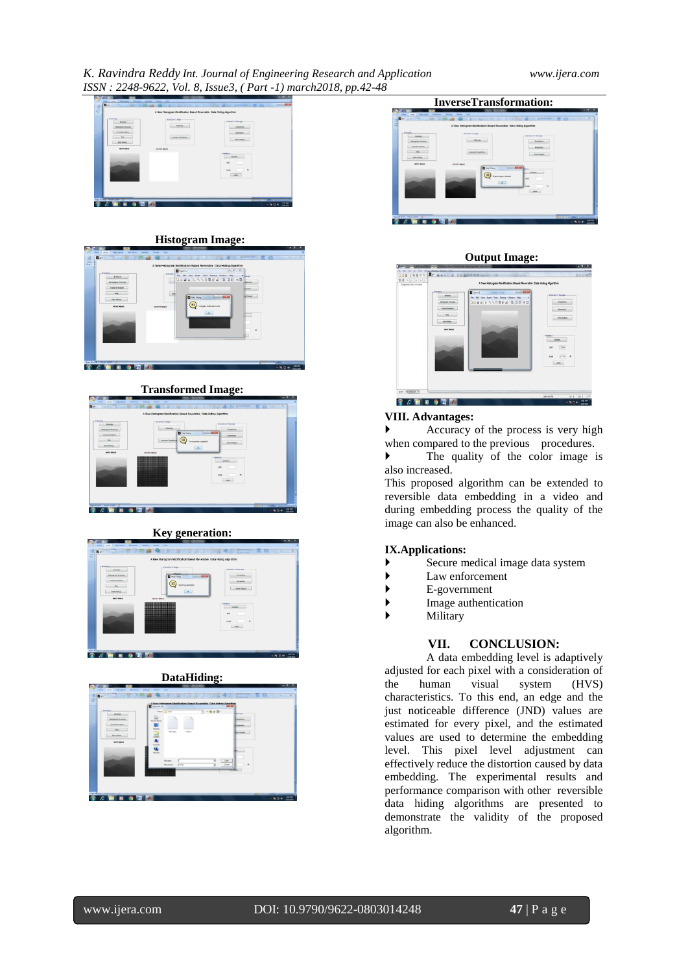## *K. Ravindra Reddy Int. Journal of Engineering Research and Application www.ijera.com ISSN : 2248-9622, Vol. 8, Issue3, ( Part -1) march2018, pp.42-48*

|                                 | A New Histogram Modification Based Reversible Data Hiding Algorithm |                                    |
|---------------------------------|---------------------------------------------------------------------|------------------------------------|
| $-24 + 46 + 3$<br><b>Stowan</b> | <b>Lindai (Floor</b>                                                | <b>Education Containing</b>        |
| <b>Mahaping Prisonne</b>        | <b>Filming</b>                                                      | <b>Swates</b>                      |
| <b>Transformation</b>           |                                                                     | <b><i><u>Takankoo</u></i></b>      |
| m.                              | pourse freezhom.                                                    | <b>Alexa Durand</b>                |
| <b>Earla Holing</b>             |                                                                     |                                    |
| <b>MEST MANCE</b>               | <b>JACKPOT BEACH</b>                                                |                                    |
|                                 |                                                                     | <b>Validation</b><br><b>SUGARE</b> |
|                                 |                                                                     | ×                                  |
|                                 |                                                                     | $\alpha$<br>mar                    |
|                                 |                                                                     | $-104$                             |
|                                 |                                                                     |                                    |
|                                 |                                                                     |                                    |
|                                 |                                                                     |                                    |

#### **Histogram Image:**

| $-$ brassing-<br><b>BOWA</b><br><b>Bulgaran Frogram</b><br><b>Transformation</b> | A New Histogram Modification Based Reversible Data Hiding Algorithm<br><b>B</b> Fave 11<br>$-$ Concient | 0周 耳<br>For Edit Your Stort Tools Delition Mindow Help<br>* Jane<br>DOMER NADDRA GIODINO<br><b>Baform</b><br><b>Baction</b> |  |
|----------------------------------------------------------------------------------|---------------------------------------------------------------------------------------------------------|-----------------------------------------------------------------------------------------------------------------------------|--|
| ses.<br><b>Data Hiding</b><br><b>REVT MACK</b>                                   | ×<br><b>BE</b> Help Disking<br>ist.<br>OUTPUT BANCK                                                     | & Chrisvil<br><b>Incidental Ave</b><br>Information day<br><b>COR</b>                                                        |  |
|                                                                                  |                                                                                                         | ٠                                                                                                                           |  |

#### **Transformed Image:**

| - Interime<br><b>Branch</b>        | Education Of Joseph                                                              | Enele Others                              |  |
|------------------------------------|----------------------------------------------------------------------------------|-------------------------------------------|--|
| <b>Halvaren Rooms</b>              | Ethnisia                                                                         | <b>Transferre</b><br><b>Scalen Miller</b> |  |
| <b><i><u>Standardsplan</u></i></b> | <b>BE</b> Hate Claims                                                            | <b>Telephone</b>                          |  |
| Res.                               | $\left( \mathbf{E} \right)$<br><b>Avenue Transferred</b><br>Turatonake congleted | <b>Steve Output</b>                       |  |
| <b>Bata Kidnig</b>                 | $-8.1$                                                                           |                                           |  |
| <b><i>WEST BEACH</i></b>           | <b>GRIPPE BARIE</b>                                                              |                                           |  |
|                                    |                                                                                  | <b>Manager</b><br>Valence                 |  |
|                                    |                                                                                  | WX                                        |  |
|                                    |                                                                                  | . .                                       |  |
|                                    |                                                                                  | ٠<br><b>FOA</b>                           |  |
|                                    |                                                                                  | <b>CONTRACTOR</b>                         |  |
|                                    |                                                                                  |                                           |  |

#### **Key generation:**



**DataHiding:**





# **Output Image:**

| 11 - 11 - 11<br>Zriptositeciutiose | A New Histogram Modification Based Reversible Data Hiding Algorithm |                                                            |                   |                                        |  |
|------------------------------------|---------------------------------------------------------------------|------------------------------------------------------------|-------------------|----------------------------------------|--|
|                                    | $-$ Disease.<br><b>Browse</b>                                       | <b>Bioni</b><br>Fig. 54t Year Doct Tark Deltoy Nieder Help | <b>CHAMM</b><br>۷ | -Edward Wood                           |  |
|                                    | <b>Retigran Process</b><br><b><i><u>handsmation</u></i></b>         | 08861110984-00810                                          |                   | <b>Transferred</b>                     |  |
|                                    | tie.                                                                |                                                            |                   | <b>Edwardian</b><br><b>View Output</b> |  |
|                                    | <b>Selv Holley</b><br><b>MALE BRACK</b>                             |                                                            |                   |                                        |  |
|                                    |                                                                     |                                                            |                   | <b>INSERI</b><br>Validate              |  |
|                                    |                                                                     |                                                            |                   | 27700<br>w.                            |  |
|                                    |                                                                     |                                                            |                   | 43,7746<br>- 4<br><b>PDM</b>           |  |
|                                    |                                                                     |                                                            |                   | 16000000                               |  |

## **VIII. Advantages:**

Accuracy of the process is very high when compared to the previous procedures.

 The quality of the color image is also increased.

This proposed algorithm can be extended to reversible data embedding in a video and during embedding process the quality of the image can also be enhanced.

### **IX.Applications:**

- Secure medical image data system
- Law enforcement
- E-government
- Image authentication
- Military

# **VII. CONCLUSION:**

A data embedding level is adaptively adjusted for each pixel with a consideration of the human visual system (HVS) characteristics. To this end, an edge and the just noticeable difference (JND) values are estimated for every pixel, and the estimated values are used to determine the embedding level. This pixel level adjustment can effectively reduce the distortion caused by data embedding. The experimental results and performance comparison with other reversible data hiding algorithms are presented to demonstrate the validity of the proposed algorithm.